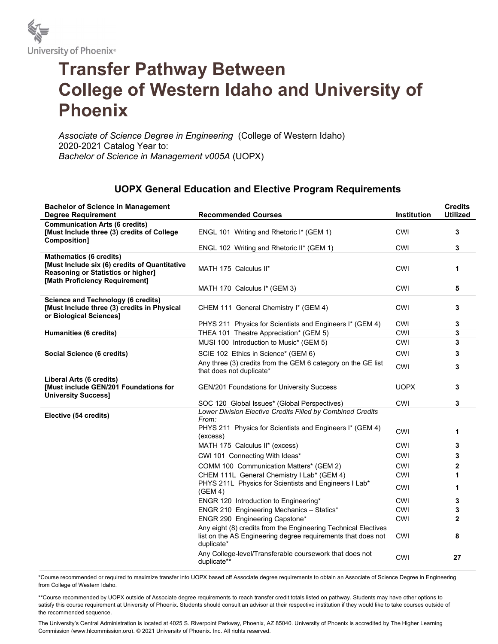

## Transfer Pathway Between College of Western Idaho and University of Phoenix

Associate of Science Degree in Engineering (College of Western Idaho) 2020-2021 Catalog Year to: Bachelor of Science in Management v005A (UOPX)

## UOPX General Education and Elective Program Requirements

| <b>Bachelor of Science in Management</b><br><b>Degree Requirement</b>                                                                                   | <b>Recommended Courses</b>                                                                                                                   | Institution | <b>Credits</b><br><b>Utilized</b> |
|---------------------------------------------------------------------------------------------------------------------------------------------------------|----------------------------------------------------------------------------------------------------------------------------------------------|-------------|-----------------------------------|
| <b>Communication Arts (6 credits)</b><br>[Must Include three (3) credits of College<br>Composition]                                                     | ENGL 101 Writing and Rhetoric I* (GEM 1)                                                                                                     | <b>CWI</b>  | 3                                 |
|                                                                                                                                                         | ENGL 102 Writing and Rhetoric II* (GEM 1)                                                                                                    | <b>CWI</b>  | 3                                 |
| <b>Mathematics (6 credits)</b><br>[Must Include six (6) credits of Quantitative<br>Reasoning or Statistics or higher]<br>[Math Proficiency Requirement] | MATH 175 Calculus II*                                                                                                                        | <b>CWI</b>  | 1                                 |
|                                                                                                                                                         | MATH 170 Calculus I* (GEM 3)                                                                                                                 | <b>CWI</b>  | 5                                 |
| <b>Science and Technology (6 credits)</b><br>[Must Include three (3) credits in Physical<br>or Biological Sciences]                                     | CHEM 111 General Chemistry I* (GEM 4)                                                                                                        | <b>CWI</b>  | 3                                 |
|                                                                                                                                                         | PHYS 211 Physics for Scientists and Engineers I* (GEM 4)                                                                                     | <b>CWI</b>  | 3                                 |
| <b>Humanities (6 credits)</b>                                                                                                                           | THEA 101 Theatre Appreciation* (GEM 5)                                                                                                       | CWI         | 3                                 |
|                                                                                                                                                         | MUSI 100 Introduction to Music* (GEM 5)                                                                                                      | <b>CWI</b>  | 3                                 |
| Social Science (6 credits)                                                                                                                              | SCIE 102 Ethics in Science* (GEM 6)                                                                                                          | <b>CWI</b>  | 3                                 |
|                                                                                                                                                         | Any three (3) credits from the GEM 6 category on the GE list<br>that does not duplicate*                                                     | CWI         | 3                                 |
| Liberal Arts (6 credits)<br>[Must include GEN/201 Foundations for<br><b>University Success]</b>                                                         | GEN/201 Foundations for University Success                                                                                                   | <b>UOPX</b> | 3                                 |
|                                                                                                                                                         | SOC 120 Global Issues* (Global Perspectives)                                                                                                 | CWI         | 3                                 |
| Elective (54 credits)                                                                                                                                   | Lower Division Elective Credits Filled by Combined Credits<br>From:<br>PHYS 211 Physics for Scientists and Engineers I* (GEM 4)<br>(excess)  | <b>CWI</b>  | 1                                 |
|                                                                                                                                                         | MATH 175 Calculus II* (excess)                                                                                                               | <b>CWI</b>  | 3                                 |
|                                                                                                                                                         | CWI 101 Connecting With Ideas*                                                                                                               | <b>CWI</b>  | 3                                 |
|                                                                                                                                                         | COMM 100 Communication Matters* (GEM 2)                                                                                                      | <b>CWI</b>  | $\overline{2}$                    |
|                                                                                                                                                         | CHEM 111L General Chemistry I Lab* (GEM 4)                                                                                                   | CWI         | 1                                 |
|                                                                                                                                                         | PHYS 211L Physics for Scientists and Engineers I Lab*<br>(GEM 4)                                                                             | CWI         | 1                                 |
|                                                                                                                                                         | ENGR 120 Introduction to Engineering*                                                                                                        | <b>CWI</b>  | 3                                 |
|                                                                                                                                                         | ENGR 210 Engineering Mechanics - Statics*                                                                                                    | <b>CWI</b>  | 3                                 |
|                                                                                                                                                         | ENGR 290 Engineering Capstone*                                                                                                               | CWI         | $\mathbf{2}$                      |
|                                                                                                                                                         | Any eight (8) credits from the Engineering Technical Electives<br>list on the AS Engineering degree requirements that does not<br>duplicate* | <b>CWI</b>  | 8                                 |
|                                                                                                                                                         | Any College-level/Transferable coursework that does not<br>duplicate**                                                                       | CWI         | 27                                |

\*Course recommended or required to maximize transfer into UOPX based off Associate degree requirements to obtain an Associate of Science Degree in Engineering from College of Western Idaho.

\*\*Course recommended by UOPX outside of Associate degree requirements to reach transfer credit totals listed on pathway. Students may have other options to satisfy this course requirement at University of Phoenix. Students should consult an advisor at their respective institution if they would like to take courses outside of the recommended sequence.

The University's Central Administration is located at 4025 S. Riverpoint Parkway, Phoenix, AZ 85040. University of Phoenix is accredited by The Higher Learning Commission (www.hlcommission.org). © 2021 University of Phoenix, Inc. All rights reserved.